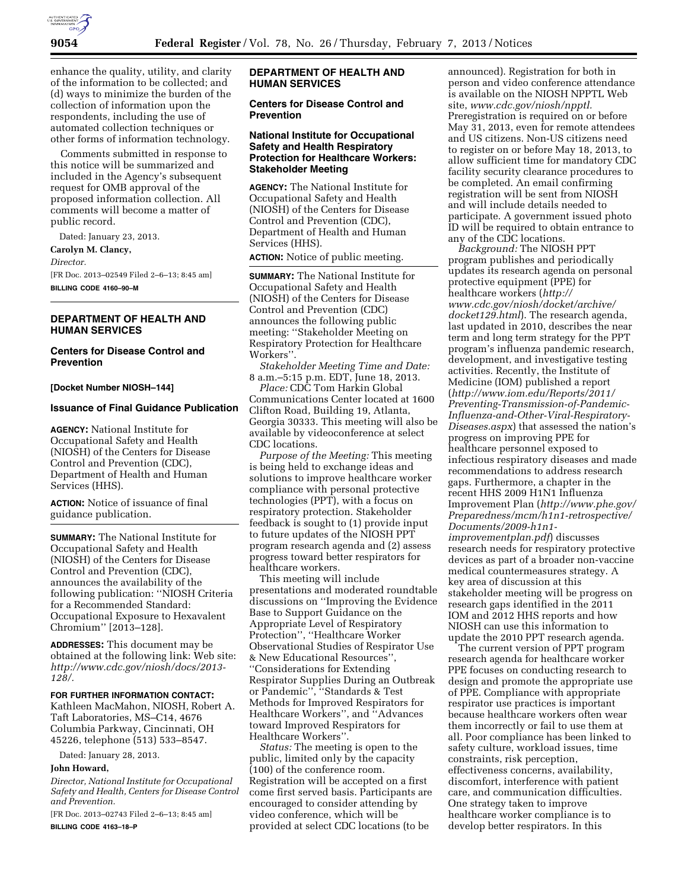

enhance the quality, utility, and clarity of the information to be collected; and (d) ways to minimize the burden of the collection of information upon the respondents, including the use of automated collection techniques or other forms of information technology.

Comments submitted in response to this notice will be summarized and included in the Agency's subsequent request for OMB approval of the proposed information collection. All comments will become a matter of public record.

Dated: January 23, 2013.

**Carolyn M. Clancy,** 

*Director.* 

[FR Doc. 2013–02549 Filed 2–6–13; 8:45 am] **BILLING CODE 4160–90–M** 

# **DEPARTMENT OF HEALTH AND HUMAN SERVICES**

# **Centers for Disease Control and Prevention**

#### **[Docket Number NIOSH–144]**

## **Issuance of Final Guidance Publication**

**AGENCY:** National Institute for Occupational Safety and Health (NIOSH) of the Centers for Disease Control and Prevention (CDC), Department of Health and Human Services (HHS).

**ACTION:** Notice of issuance of final guidance publication.

**SUMMARY:** The National Institute for Occupational Safety and Health (NIOSH) of the Centers for Disease Control and Prevention (CDC), announces the availability of the following publication: ''NIOSH Criteria for a Recommended Standard: Occupational Exposure to Hexavalent Chromium'' [2013–128].

**ADDRESSES:** This document may be obtained at the following link: Web site: *[http://www.cdc.gov/niosh/docs/2013-](http://www.cdc.gov/niosh/docs/2013-128/) [128/.](http://www.cdc.gov/niosh/docs/2013-128/)* 

#### **FOR FURTHER INFORMATION CONTACT:**

Kathleen MacMahon, NIOSH, Robert A. Taft Laboratories, MS–C14, 4676 Columbia Parkway, Cincinnati, OH 45226, telephone (513) 533–8547.

Dated: January 28, 2013.

### **John Howard,**

*Director, National Institute for Occupational Safety and Health, Centers for Disease Control and Prevention.* 

[FR Doc. 2013–02743 Filed 2–6–13; 8:45 am] **BILLING CODE 4163–18–P** 

# **DEPARTMENT OF HEALTH AND HUMAN SERVICES**

# **Centers for Disease Control and Prevention**

#### **National Institute for Occupational Safety and Health Respiratory Protection for Healthcare Workers: Stakeholder Meeting**

**AGENCY:** The National Institute for Occupational Safety and Health (NIOSH) of the Centers for Disease Control and Prevention (CDC), Department of Health and Human Services (HHS).

**ACTION:** Notice of public meeting.

**SUMMARY:** The National Institute for Occupational Safety and Health (NIOSH) of the Centers for Disease Control and Prevention (CDC) announces the following public meeting: ''Stakeholder Meeting on Respiratory Protection for Healthcare Workers''.

*Stakeholder Meeting Time and Date:*  8 a.m.–5:15 p.m. EDT, June 18, 2013.

*Place:* CDC Tom Harkin Global Communications Center located at 1600 Clifton Road, Building 19, Atlanta, Georgia 30333. This meeting will also be available by videoconference at select CDC locations.

*Purpose of the Meeting:* This meeting is being held to exchange ideas and solutions to improve healthcare worker compliance with personal protective technologies (PPT), with a focus on respiratory protection. Stakeholder feedback is sought to (1) provide input to future updates of the NIOSH PPT program research agenda and (2) assess progress toward better respirators for healthcare workers.

This meeting will include presentations and moderated roundtable discussions on ''Improving the Evidence Base to Support Guidance on the Appropriate Level of Respiratory Protection'', ''Healthcare Worker Observational Studies of Respirator Use & New Educational Resources'', ''Considerations for Extending Respirator Supplies During an Outbreak or Pandemic'', ''Standards & Test Methods for Improved Respirators for Healthcare Workers'', and ''Advances toward Improved Respirators for Healthcare Workers''.

*Status:* The meeting is open to the public, limited only by the capacity (100) of the conference room. Registration will be accepted on a first come first served basis. Participants are encouraged to consider attending by video conference, which will be provided at select CDC locations (to be

announced). Registration for both in person and video conference attendance is available on the NIOSH NPPTL Web site, *[www.cdc.gov/niosh/npptl.](http://www.cdc.gov/niosh/npptl)*  Preregistration is required on or before May 31, 2013, even for remote attendees and US citizens. Non-US citizens need to register on or before May 18, 2013, to allow sufficient time for mandatory CDC facility security clearance procedures to be completed. An email confirming registration will be sent from NIOSH and will include details needed to participate. A government issued photo ID will be required to obtain entrance to any of the CDC locations.

*Background:* The NIOSH PPT program publishes and periodically updates its research agenda on personal protective equipment (PPE) for healthcare workers (*[http://](http://www.cdc.gov/niosh/docket/archive/docket129.html) [www.cdc.gov/niosh/docket/archive/](http://www.cdc.gov/niosh/docket/archive/docket129.html) [docket129.html](http://www.cdc.gov/niosh/docket/archive/docket129.html)*). The research agenda, last updated in 2010, describes the near term and long term strategy for the PPT program's influenza pandemic research, development, and investigative testing activities. Recently, the Institute of Medicine (IOM) published a report (*[http://www.iom.edu/Reports/2011/](http://www.iom.edu/Reports/2011/Preventing-Transmission-of-Pandemic-Influenza-and-Other-Viral-Respiratory-Diseases.aspx) [Preventing-Transmission-of-Pandemic-](http://www.iom.edu/Reports/2011/Preventing-Transmission-of-Pandemic-Influenza-and-Other-Viral-Respiratory-Diseases.aspx)[Influenza-and-Other-Viral-Respiratory-](http://www.iom.edu/Reports/2011/Preventing-Transmission-of-Pandemic-Influenza-and-Other-Viral-Respiratory-Diseases.aspx)[Diseases.aspx](http://www.iom.edu/Reports/2011/Preventing-Transmission-of-Pandemic-Influenza-and-Other-Viral-Respiratory-Diseases.aspx)*) that assessed the nation's progress on improving PPE for healthcare personnel exposed to infectious respiratory diseases and made recommendations to address research gaps. Furthermore, a chapter in the recent HHS 2009 H1N1 Influenza Improvement Plan (*[http://www.phe.gov/](http://www.phe.gov/Preparedness/mcm/h1n1-retrospective/Documents/2009-h1n1-improvementplan.pdf) [Preparedness/mcm/h1n1-retrospective/](http://www.phe.gov/Preparedness/mcm/h1n1-retrospective/Documents/2009-h1n1-improvementplan.pdf)  [Documents/2009-h1n1](http://www.phe.gov/Preparedness/mcm/h1n1-retrospective/Documents/2009-h1n1-improvementplan.pdf) [improvementplan.pdf](http://www.phe.gov/Preparedness/mcm/h1n1-retrospective/Documents/2009-h1n1-improvementplan.pdf)*) discusses research needs for respiratory protective devices as part of a broader non-vaccine medical countermeasures strategy. A key area of discussion at this stakeholder meeting will be progress on research gaps identified in the 2011 IOM and 2012 HHS reports and how NIOSH can use this information to update the 2010 PPT research agenda.

The current version of PPT program research agenda for healthcare worker PPE focuses on conducting research to design and promote the appropriate use of PPE. Compliance with appropriate respirator use practices is important because healthcare workers often wear them incorrectly or fail to use them at all. Poor compliance has been linked to safety culture, workload issues, time constraints, risk perception, effectiveness concerns, availability, discomfort, interference with patient care, and communication difficulties. One strategy taken to improve healthcare worker compliance is to develop better respirators. In this